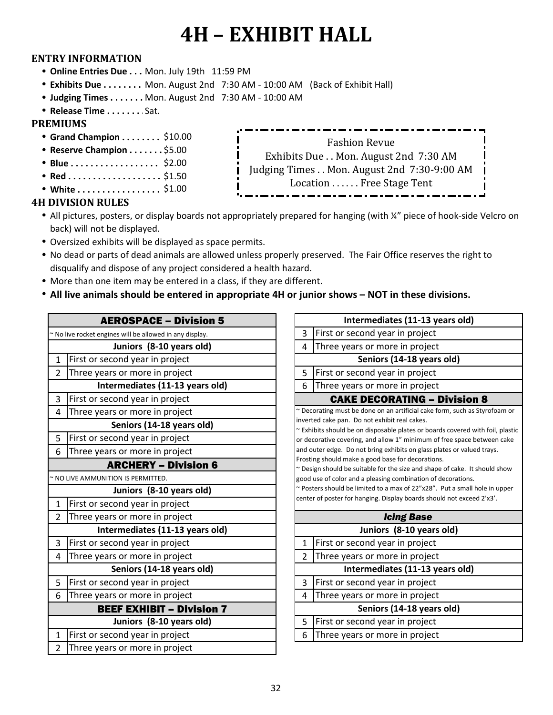### **ENTRY INFORMATION**

- **Online Entries Due . . . Mon. July 19th 11:59 PM**
- <sup>l</sup> **Exhibits Due . . . . . . . . . . . . . . . . .** Mon. August 2nd 7:30 AM 10:00 AM (Back of Exhibit Hall)
- Judging Times . . . . . . . Mon. August 2nd 7:30 AM 10:00 AM
- <sup>l</sup> **Release Time . . . . . . . . . . . . . . . . . .** Sat.

### **PREMIUMS**

- **Grand Champion . . . . . . . . \$10.00**
- **Reserve Champion . . . . . . . \$5.00**
- Blue . . . . . . . . . . . . . . . . . \$2.00
- <sup>l</sup> **Red . . . . . . . . . . . . . . . . . . . . .**  \$1.50
- <sup>l</sup> **White . . . . . . . . . . . . . . . . . .**  \$1.00

### **4H DIVISION RULES**

- All pictures, posters, or display boards not appropriately prepared for hanging (with ¼" piece of hook-side Velcro on back) will not be displayed.
- Oversized exhibits will be displayed as space permits.
- No dead or parts of dead animals are allowed unless properly preserved. The Fair Office reserves the right to disqualify and dispose of any project considered a health hazard.
- More than one item may be entered in a class, if they are different.
- All live animals should be entered in appropriate 4H or junior shows NOT in these divisions.

### AEROSPACE – Division 5

|                | ~ No live rocket engines will be allowed in any display. | 3                 |
|----------------|----------------------------------------------------------|-------------------|
|                | Juniors (8-10 years old)                                 | 4                 |
| $\mathbf{1}$   | First or second year in project                          |                   |
| 2              | Three years or more in project                           | 5                 |
|                | Intermediates (11-13 years old)                          | 6                 |
| 3              | First or second year in project                          |                   |
| 4              | Three years or more in project                           | $\sim$ De         |
|                | Seniors (14-18 years old)                                | inve<br>$\sim$ Ex |
| 5              | First or second year in project                          | or d              |
| 6              | Three years or more in project                           | and               |
|                | <b>ARCHERY - Division 6</b>                              | Fros<br>$\sim$ De |
|                | ~ NO LIVE AMMUNITION IS PERMITTED.                       | goo               |
|                | Juniors (8-10 years old)                                 | $\sim$ Pc         |
| $\mathbf{1}$   | First or second year in project                          | cen               |
| $\overline{2}$ | Three years or more in project                           |                   |
|                | Intermediates (11-13 years old)                          |                   |
| 3              | First or second year in project                          | $\mathbf{1}$      |
| 4              | Three years or more in project                           | $\overline{2}$    |
|                | Seniors (14-18 years old)                                |                   |
| 5              | First or second year in project                          | 3                 |
| 6              | Three years or more in project                           | 4                 |
|                | <b>BEEF EXHIBIT - Division 7</b>                         |                   |
|                | Juniors (8-10 years old)                                 | 5                 |
| $\mathbf{1}$   | First or second year in project                          | 6                 |
| 2              | Three years or more in project                           |                   |
|                |                                                          |                   |

| Intermediates (11-13 years old)                                                                                                                                                                                                                                                                                                                                                                                                                                                                                                                                                                                                                                                                                              |                                     |  |  |  |  |
|------------------------------------------------------------------------------------------------------------------------------------------------------------------------------------------------------------------------------------------------------------------------------------------------------------------------------------------------------------------------------------------------------------------------------------------------------------------------------------------------------------------------------------------------------------------------------------------------------------------------------------------------------------------------------------------------------------------------------|-------------------------------------|--|--|--|--|
| 3                                                                                                                                                                                                                                                                                                                                                                                                                                                                                                                                                                                                                                                                                                                            | First or second year in project     |  |  |  |  |
| 4                                                                                                                                                                                                                                                                                                                                                                                                                                                                                                                                                                                                                                                                                                                            | Three years or more in project      |  |  |  |  |
|                                                                                                                                                                                                                                                                                                                                                                                                                                                                                                                                                                                                                                                                                                                              | Seniors (14-18 years old)           |  |  |  |  |
| 5                                                                                                                                                                                                                                                                                                                                                                                                                                                                                                                                                                                                                                                                                                                            | First or second year in project     |  |  |  |  |
| 6                                                                                                                                                                                                                                                                                                                                                                                                                                                                                                                                                                                                                                                                                                                            | Three years or more in project      |  |  |  |  |
|                                                                                                                                                                                                                                                                                                                                                                                                                                                                                                                                                                                                                                                                                                                              | <b>CAKE DECORATING - Division 8</b> |  |  |  |  |
| ~ Decorating must be done on an artificial cake form, such as Styrofoam or<br>inverted cake pan. Do not exhibit real cakes.<br>~ Exhibits should be on disposable plates or boards covered with foil, plastic<br>or decorative covering, and allow 1" minimum of free space between cake<br>and outer edge. Do not bring exhibits on glass plates or valued trays.<br>Frosting should make a good base for decorations.<br>~ Design should be suitable for the size and shape of cake. It should show<br>good use of color and a pleasing combination of decorations.<br>~ Posters should be limited to a max of 22"x28". Put a small hole in upper<br>center of poster for hanging. Display boards should not exceed 2'x3'. |                                     |  |  |  |  |
|                                                                                                                                                                                                                                                                                                                                                                                                                                                                                                                                                                                                                                                                                                                              | <b>Icing Base</b>                   |  |  |  |  |
|                                                                                                                                                                                                                                                                                                                                                                                                                                                                                                                                                                                                                                                                                                                              | Juniors (8-10 years old)            |  |  |  |  |
| $\mathbf{1}$                                                                                                                                                                                                                                                                                                                                                                                                                                                                                                                                                                                                                                                                                                                 | First or second year in project     |  |  |  |  |
| 2                                                                                                                                                                                                                                                                                                                                                                                                                                                                                                                                                                                                                                                                                                                            | Three years or more in project      |  |  |  |  |
| Intermediates (11-13 years old)                                                                                                                                                                                                                                                                                                                                                                                                                                                                                                                                                                                                                                                                                              |                                     |  |  |  |  |
| 3                                                                                                                                                                                                                                                                                                                                                                                                                                                                                                                                                                                                                                                                                                                            | First or second year in project     |  |  |  |  |
| 4                                                                                                                                                                                                                                                                                                                                                                                                                                                                                                                                                                                                                                                                                                                            | Three years or more in project      |  |  |  |  |
| Seniors (14-18 years old)                                                                                                                                                                                                                                                                                                                                                                                                                                                                                                                                                                                                                                                                                                    |                                     |  |  |  |  |
| 5                                                                                                                                                                                                                                                                                                                                                                                                                                                                                                                                                                                                                                                                                                                            | First or second year in project     |  |  |  |  |
| 6                                                                                                                                                                                                                                                                                                                                                                                                                                                                                                                                                                                                                                                                                                                            | Three years or more in project      |  |  |  |  |

Fashion Revue Exhibits Due . . Mon. August 2nd 7:30 AM Judging Times . . Mon. August 2nd 7:30-9:00 AM Location . . . . . . Free Stage Tent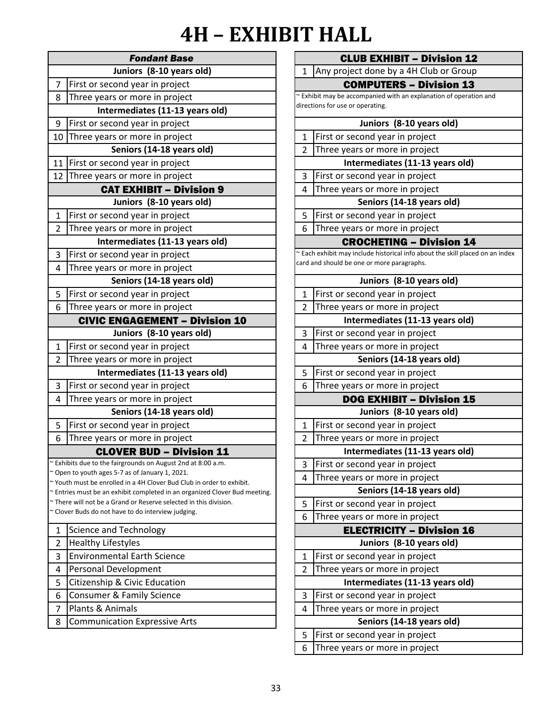| Juniors (8-10 years old)<br>First or second year in project<br>Three years or more in project<br>Intermediates (11-13 years old)<br>First or second year in project<br>Three years or more in project<br>Seniors (14-18 years old)<br>First or second year in project<br>Three years or more in project<br><b>CAT EXHIBIT - Division 9</b><br>Juniors (8-10 years old)<br>First or second year in project<br>Three years or more in project<br>Intermediates (11-13 years old)<br>First or second year in project<br>Three years or more in project<br>Seniors (14-18 years old)<br>First or second year in project<br>Three years or more in project<br><b>CIVIC ENGAGEMENT - Division 10</b><br>Juniors (8-10 years old)<br>First or second year in project<br>Three years or more in project<br>Intermediates (11-13 years old)<br>First or second year in project<br>Three years or more in project<br>Seniors (14-18 years old)<br>First or second year in project<br>Three years or more in project<br><b>CLOVER BUD - Division 11</b><br>~ Exhibits due to the fairgrounds on August 2nd at 8:00 a.m.<br>~ Open to youth ages 5-7 as of January 1, 2021.<br>~ Youth must be enrolled in a 4H Clover Bud Club in order to exhibit.<br>~ Entries must be an exhibit completed in an organized Clover Bud meeting.<br>~ There will not be a Grand or Reserve selected in this division.<br>~ Clover Buds do not have to do interview judging.<br><b>Science and Technology</b><br><b>Healthy Lifestyles</b><br><b>Environmental Earth Science</b><br>Personal Development<br>Citizenship & Civic Education<br>Consumer & Family Science<br>Plants & Animals<br><b>Communication Expressive Arts</b> |              | <b>Fondant Base</b> |
|---------------------------------------------------------------------------------------------------------------------------------------------------------------------------------------------------------------------------------------------------------------------------------------------------------------------------------------------------------------------------------------------------------------------------------------------------------------------------------------------------------------------------------------------------------------------------------------------------------------------------------------------------------------------------------------------------------------------------------------------------------------------------------------------------------------------------------------------------------------------------------------------------------------------------------------------------------------------------------------------------------------------------------------------------------------------------------------------------------------------------------------------------------------------------------------------------------------------------------------------------------------------------------------------------------------------------------------------------------------------------------------------------------------------------------------------------------------------------------------------------------------------------------------------------------------------------------------------------------------------------------------------------------------------------------------------------------|--------------|---------------------|
|                                                                                                                                                                                                                                                                                                                                                                                                                                                                                                                                                                                                                                                                                                                                                                                                                                                                                                                                                                                                                                                                                                                                                                                                                                                                                                                                                                                                                                                                                                                                                                                                                                                                                                         |              |                     |
|                                                                                                                                                                                                                                                                                                                                                                                                                                                                                                                                                                                                                                                                                                                                                                                                                                                                                                                                                                                                                                                                                                                                                                                                                                                                                                                                                                                                                                                                                                                                                                                                                                                                                                         | 7            |                     |
|                                                                                                                                                                                                                                                                                                                                                                                                                                                                                                                                                                                                                                                                                                                                                                                                                                                                                                                                                                                                                                                                                                                                                                                                                                                                                                                                                                                                                                                                                                                                                                                                                                                                                                         | 8            |                     |
|                                                                                                                                                                                                                                                                                                                                                                                                                                                                                                                                                                                                                                                                                                                                                                                                                                                                                                                                                                                                                                                                                                                                                                                                                                                                                                                                                                                                                                                                                                                                                                                                                                                                                                         |              |                     |
|                                                                                                                                                                                                                                                                                                                                                                                                                                                                                                                                                                                                                                                                                                                                                                                                                                                                                                                                                                                                                                                                                                                                                                                                                                                                                                                                                                                                                                                                                                                                                                                                                                                                                                         | 9            |                     |
|                                                                                                                                                                                                                                                                                                                                                                                                                                                                                                                                                                                                                                                                                                                                                                                                                                                                                                                                                                                                                                                                                                                                                                                                                                                                                                                                                                                                                                                                                                                                                                                                                                                                                                         | 10           |                     |
|                                                                                                                                                                                                                                                                                                                                                                                                                                                                                                                                                                                                                                                                                                                                                                                                                                                                                                                                                                                                                                                                                                                                                                                                                                                                                                                                                                                                                                                                                                                                                                                                                                                                                                         |              |                     |
|                                                                                                                                                                                                                                                                                                                                                                                                                                                                                                                                                                                                                                                                                                                                                                                                                                                                                                                                                                                                                                                                                                                                                                                                                                                                                                                                                                                                                                                                                                                                                                                                                                                                                                         | 11           |                     |
|                                                                                                                                                                                                                                                                                                                                                                                                                                                                                                                                                                                                                                                                                                                                                                                                                                                                                                                                                                                                                                                                                                                                                                                                                                                                                                                                                                                                                                                                                                                                                                                                                                                                                                         | 12           |                     |
|                                                                                                                                                                                                                                                                                                                                                                                                                                                                                                                                                                                                                                                                                                                                                                                                                                                                                                                                                                                                                                                                                                                                                                                                                                                                                                                                                                                                                                                                                                                                                                                                                                                                                                         |              |                     |
|                                                                                                                                                                                                                                                                                                                                                                                                                                                                                                                                                                                                                                                                                                                                                                                                                                                                                                                                                                                                                                                                                                                                                                                                                                                                                                                                                                                                                                                                                                                                                                                                                                                                                                         |              |                     |
|                                                                                                                                                                                                                                                                                                                                                                                                                                                                                                                                                                                                                                                                                                                                                                                                                                                                                                                                                                                                                                                                                                                                                                                                                                                                                                                                                                                                                                                                                                                                                                                                                                                                                                         | $\mathbf{1}$ |                     |
|                                                                                                                                                                                                                                                                                                                                                                                                                                                                                                                                                                                                                                                                                                                                                                                                                                                                                                                                                                                                                                                                                                                                                                                                                                                                                                                                                                                                                                                                                                                                                                                                                                                                                                         | 2            |                     |
|                                                                                                                                                                                                                                                                                                                                                                                                                                                                                                                                                                                                                                                                                                                                                                                                                                                                                                                                                                                                                                                                                                                                                                                                                                                                                                                                                                                                                                                                                                                                                                                                                                                                                                         |              |                     |
|                                                                                                                                                                                                                                                                                                                                                                                                                                                                                                                                                                                                                                                                                                                                                                                                                                                                                                                                                                                                                                                                                                                                                                                                                                                                                                                                                                                                                                                                                                                                                                                                                                                                                                         | 3            |                     |
|                                                                                                                                                                                                                                                                                                                                                                                                                                                                                                                                                                                                                                                                                                                                                                                                                                                                                                                                                                                                                                                                                                                                                                                                                                                                                                                                                                                                                                                                                                                                                                                                                                                                                                         | 4            |                     |
|                                                                                                                                                                                                                                                                                                                                                                                                                                                                                                                                                                                                                                                                                                                                                                                                                                                                                                                                                                                                                                                                                                                                                                                                                                                                                                                                                                                                                                                                                                                                                                                                                                                                                                         |              |                     |
|                                                                                                                                                                                                                                                                                                                                                                                                                                                                                                                                                                                                                                                                                                                                                                                                                                                                                                                                                                                                                                                                                                                                                                                                                                                                                                                                                                                                                                                                                                                                                                                                                                                                                                         | 5            |                     |
|                                                                                                                                                                                                                                                                                                                                                                                                                                                                                                                                                                                                                                                                                                                                                                                                                                                                                                                                                                                                                                                                                                                                                                                                                                                                                                                                                                                                                                                                                                                                                                                                                                                                                                         | 6            |                     |
|                                                                                                                                                                                                                                                                                                                                                                                                                                                                                                                                                                                                                                                                                                                                                                                                                                                                                                                                                                                                                                                                                                                                                                                                                                                                                                                                                                                                                                                                                                                                                                                                                                                                                                         |              |                     |
|                                                                                                                                                                                                                                                                                                                                                                                                                                                                                                                                                                                                                                                                                                                                                                                                                                                                                                                                                                                                                                                                                                                                                                                                                                                                                                                                                                                                                                                                                                                                                                                                                                                                                                         |              |                     |
|                                                                                                                                                                                                                                                                                                                                                                                                                                                                                                                                                                                                                                                                                                                                                                                                                                                                                                                                                                                                                                                                                                                                                                                                                                                                                                                                                                                                                                                                                                                                                                                                                                                                                                         | 1            |                     |
|                                                                                                                                                                                                                                                                                                                                                                                                                                                                                                                                                                                                                                                                                                                                                                                                                                                                                                                                                                                                                                                                                                                                                                                                                                                                                                                                                                                                                                                                                                                                                                                                                                                                                                         | 2            |                     |
|                                                                                                                                                                                                                                                                                                                                                                                                                                                                                                                                                                                                                                                                                                                                                                                                                                                                                                                                                                                                                                                                                                                                                                                                                                                                                                                                                                                                                                                                                                                                                                                                                                                                                                         |              |                     |
|                                                                                                                                                                                                                                                                                                                                                                                                                                                                                                                                                                                                                                                                                                                                                                                                                                                                                                                                                                                                                                                                                                                                                                                                                                                                                                                                                                                                                                                                                                                                                                                                                                                                                                         | 3            |                     |
|                                                                                                                                                                                                                                                                                                                                                                                                                                                                                                                                                                                                                                                                                                                                                                                                                                                                                                                                                                                                                                                                                                                                                                                                                                                                                                                                                                                                                                                                                                                                                                                                                                                                                                         | 4            |                     |
|                                                                                                                                                                                                                                                                                                                                                                                                                                                                                                                                                                                                                                                                                                                                                                                                                                                                                                                                                                                                                                                                                                                                                                                                                                                                                                                                                                                                                                                                                                                                                                                                                                                                                                         |              |                     |
|                                                                                                                                                                                                                                                                                                                                                                                                                                                                                                                                                                                                                                                                                                                                                                                                                                                                                                                                                                                                                                                                                                                                                                                                                                                                                                                                                                                                                                                                                                                                                                                                                                                                                                         | 5            |                     |
|                                                                                                                                                                                                                                                                                                                                                                                                                                                                                                                                                                                                                                                                                                                                                                                                                                                                                                                                                                                                                                                                                                                                                                                                                                                                                                                                                                                                                                                                                                                                                                                                                                                                                                         | 6            |                     |
|                                                                                                                                                                                                                                                                                                                                                                                                                                                                                                                                                                                                                                                                                                                                                                                                                                                                                                                                                                                                                                                                                                                                                                                                                                                                                                                                                                                                                                                                                                                                                                                                                                                                                                         |              |                     |
|                                                                                                                                                                                                                                                                                                                                                                                                                                                                                                                                                                                                                                                                                                                                                                                                                                                                                                                                                                                                                                                                                                                                                                                                                                                                                                                                                                                                                                                                                                                                                                                                                                                                                                         |              |                     |
|                                                                                                                                                                                                                                                                                                                                                                                                                                                                                                                                                                                                                                                                                                                                                                                                                                                                                                                                                                                                                                                                                                                                                                                                                                                                                                                                                                                                                                                                                                                                                                                                                                                                                                         |              |                     |
|                                                                                                                                                                                                                                                                                                                                                                                                                                                                                                                                                                                                                                                                                                                                                                                                                                                                                                                                                                                                                                                                                                                                                                                                                                                                                                                                                                                                                                                                                                                                                                                                                                                                                                         |              |                     |
|                                                                                                                                                                                                                                                                                                                                                                                                                                                                                                                                                                                                                                                                                                                                                                                                                                                                                                                                                                                                                                                                                                                                                                                                                                                                                                                                                                                                                                                                                                                                                                                                                                                                                                         |              |                     |
|                                                                                                                                                                                                                                                                                                                                                                                                                                                                                                                                                                                                                                                                                                                                                                                                                                                                                                                                                                                                                                                                                                                                                                                                                                                                                                                                                                                                                                                                                                                                                                                                                                                                                                         |              |                     |
|                                                                                                                                                                                                                                                                                                                                                                                                                                                                                                                                                                                                                                                                                                                                                                                                                                                                                                                                                                                                                                                                                                                                                                                                                                                                                                                                                                                                                                                                                                                                                                                                                                                                                                         | 1            |                     |
|                                                                                                                                                                                                                                                                                                                                                                                                                                                                                                                                                                                                                                                                                                                                                                                                                                                                                                                                                                                                                                                                                                                                                                                                                                                                                                                                                                                                                                                                                                                                                                                                                                                                                                         | 2            |                     |
|                                                                                                                                                                                                                                                                                                                                                                                                                                                                                                                                                                                                                                                                                                                                                                                                                                                                                                                                                                                                                                                                                                                                                                                                                                                                                                                                                                                                                                                                                                                                                                                                                                                                                                         | 3            |                     |
|                                                                                                                                                                                                                                                                                                                                                                                                                                                                                                                                                                                                                                                                                                                                                                                                                                                                                                                                                                                                                                                                                                                                                                                                                                                                                                                                                                                                                                                                                                                                                                                                                                                                                                         | 4            |                     |
|                                                                                                                                                                                                                                                                                                                                                                                                                                                                                                                                                                                                                                                                                                                                                                                                                                                                                                                                                                                                                                                                                                                                                                                                                                                                                                                                                                                                                                                                                                                                                                                                                                                                                                         | 5            |                     |
|                                                                                                                                                                                                                                                                                                                                                                                                                                                                                                                                                                                                                                                                                                                                                                                                                                                                                                                                                                                                                                                                                                                                                                                                                                                                                                                                                                                                                                                                                                                                                                                                                                                                                                         |              |                     |
|                                                                                                                                                                                                                                                                                                                                                                                                                                                                                                                                                                                                                                                                                                                                                                                                                                                                                                                                                                                                                                                                                                                                                                                                                                                                                                                                                                                                                                                                                                                                                                                                                                                                                                         | 6            |                     |
|                                                                                                                                                                                                                                                                                                                                                                                                                                                                                                                                                                                                                                                                                                                                                                                                                                                                                                                                                                                                                                                                                                                                                                                                                                                                                                                                                                                                                                                                                                                                                                                                                                                                                                         | 7            |                     |
|                                                                                                                                                                                                                                                                                                                                                                                                                                                                                                                                                                                                                                                                                                                                                                                                                                                                                                                                                                                                                                                                                                                                                                                                                                                                                                                                                                                                                                                                                                                                                                                                                                                                                                         | 8            |                     |

| <b>CLUB EXHIBIT - Division 12</b>                                                                     |                                                                                                                                  |  |  |  |
|-------------------------------------------------------------------------------------------------------|----------------------------------------------------------------------------------------------------------------------------------|--|--|--|
| 1                                                                                                     | Any project done by a 4H Club or Group                                                                                           |  |  |  |
| <b>COMPUTERS - Division 13</b>                                                                        |                                                                                                                                  |  |  |  |
| ~ Exhibit may be accompanied with an explanation of operation and<br>directions for use or operating. |                                                                                                                                  |  |  |  |
|                                                                                                       |                                                                                                                                  |  |  |  |
|                                                                                                       | Juniors (8-10 years old)                                                                                                         |  |  |  |
| $\mathbf{1}$                                                                                          | First or second year in project                                                                                                  |  |  |  |
| $\overline{2}$                                                                                        | Three years or more in project                                                                                                   |  |  |  |
|                                                                                                       | Intermediates (11-13 years old)                                                                                                  |  |  |  |
| 3                                                                                                     | First or second year in project                                                                                                  |  |  |  |
| 4                                                                                                     | Three years or more in project                                                                                                   |  |  |  |
|                                                                                                       | Seniors (14-18 years old)                                                                                                        |  |  |  |
| 5                                                                                                     | First or second year in project                                                                                                  |  |  |  |
| 6                                                                                                     | Three years or more in project                                                                                                   |  |  |  |
|                                                                                                       | <b>CROCHETING - Division 14</b>                                                                                                  |  |  |  |
|                                                                                                       | $\sim$ Each exhibit may include historical info about the skill placed on an index<br>card and should be one or more paragraphs. |  |  |  |
|                                                                                                       |                                                                                                                                  |  |  |  |
|                                                                                                       | Juniors (8-10 years old)                                                                                                         |  |  |  |
| 1                                                                                                     | First or second year in project                                                                                                  |  |  |  |
| $\overline{2}$                                                                                        | Three years or more in project                                                                                                   |  |  |  |
|                                                                                                       | Intermediates (11-13 years old)                                                                                                  |  |  |  |
| 3                                                                                                     | First or second year in project                                                                                                  |  |  |  |
| 4                                                                                                     | Three years or more in project                                                                                                   |  |  |  |
|                                                                                                       | Seniors (14-18 years old)                                                                                                        |  |  |  |
| 5                                                                                                     | First or second year in project                                                                                                  |  |  |  |
| 6                                                                                                     | Three years or more in project                                                                                                   |  |  |  |
|                                                                                                       | <b>DOG EXHIBIT - Division 15</b>                                                                                                 |  |  |  |
|                                                                                                       | Juniors (8-10 years old)                                                                                                         |  |  |  |
| 1                                                                                                     | First or second year in project                                                                                                  |  |  |  |
| 2                                                                                                     | Three years or more in project                                                                                                   |  |  |  |
|                                                                                                       | Intermediates (11-13 years old)                                                                                                  |  |  |  |
| 3                                                                                                     | First or second year in project                                                                                                  |  |  |  |
| 4                                                                                                     | Three years or more in project                                                                                                   |  |  |  |
|                                                                                                       | Seniors (14-18 years old)                                                                                                        |  |  |  |
| 5                                                                                                     | First or second year in project                                                                                                  |  |  |  |
| 6                                                                                                     | Three years or more in project                                                                                                   |  |  |  |
|                                                                                                       | <b>ELECTRICITY - Division 16</b>                                                                                                 |  |  |  |
|                                                                                                       | Juniors (8-10 years old)                                                                                                         |  |  |  |
| 1                                                                                                     | First or second year in project                                                                                                  |  |  |  |
| $\overline{2}$                                                                                        | Three years or more in project                                                                                                   |  |  |  |
|                                                                                                       | Intermediates (11-13 years old)                                                                                                  |  |  |  |
| 3                                                                                                     | First or second year in project                                                                                                  |  |  |  |
| 4                                                                                                     | Three years or more in project                                                                                                   |  |  |  |
|                                                                                                       | Seniors (14-18 years old)                                                                                                        |  |  |  |
| 5                                                                                                     | First or second year in project                                                                                                  |  |  |  |

6 Three years or more in project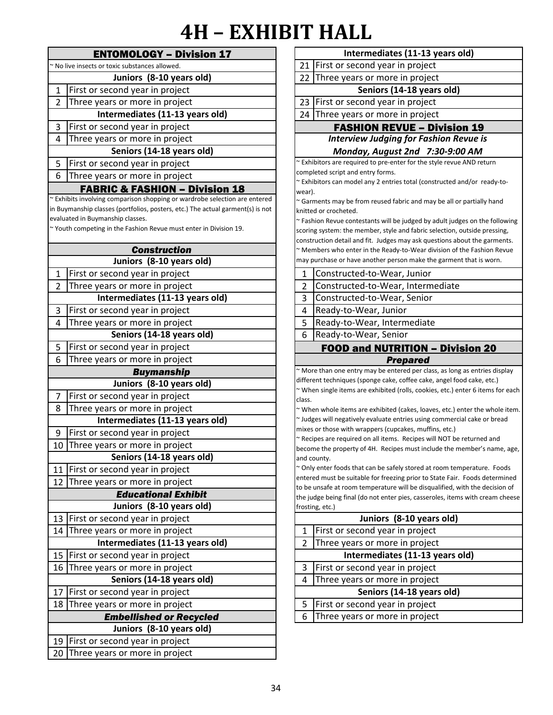|                | <b>ENTOMOLOGY - Division 17</b>                                                                                    |                | Intermediates (11-13 years old)                                                                                                  |
|----------------|--------------------------------------------------------------------------------------------------------------------|----------------|----------------------------------------------------------------------------------------------------------------------------------|
|                | ~ No live insects or toxic substances allowed.                                                                     | 21             | First or second year in project                                                                                                  |
|                | Juniors (8-10 years old)                                                                                           |                | 22 Three years or more in project                                                                                                |
| 1              | First or second year in project                                                                                    |                | Seniors (14-18 years old)                                                                                                        |
| $\overline{2}$ | Three years or more in project                                                                                     | 23             | First or second year in project                                                                                                  |
|                | Intermediates (11-13 years old)                                                                                    |                | 24 Three years or more in project                                                                                                |
| 3              | First or second year in project                                                                                    |                | <b>FASHION REVUE - Division:</b>                                                                                                 |
| 4              | Three years or more in project                                                                                     |                | <b>Interview Judging for Fashion Revu</b>                                                                                        |
|                | Seniors (14-18 years old)                                                                                          |                | Monday, August 2nd 7:30-9:00 A                                                                                                   |
| 5              | First or second year in project                                                                                    |                | ~ Exhibitors are required to pre-enter for the style revue AND                                                                   |
| 6              | Three years or more in project                                                                                     |                | completed script and entry forms.<br>~ Exhibitors can model any 2 entries total (constructed and/d                               |
|                | <b>FABRIC &amp; FASHION - Division 18</b>                                                                          | wear).         |                                                                                                                                  |
|                | ~ Exhibits involving comparison shopping or wardrobe selection are entered                                         |                | ~ Garments may be from reused fabric and may be all or par                                                                       |
|                | in Buymanship classes (portfolios, posters, etc.) The actual garment(s) is not<br>evaluated in Buymanship classes. |                | knitted or crocheted.                                                                                                            |
|                | ~ Youth competing in the Fashion Revue must enter in Division 19.                                                  |                | ~ Fashion Revue contestants will be judged by adult judges o<br>scoring system: the member, style and fabric selection, outsi    |
|                |                                                                                                                    |                | construction detail and fit. Judges may ask questions about t                                                                    |
|                | <b>Construction</b>                                                                                                |                | ~ Members who enter in the Ready-to-Wear division of the F                                                                       |
|                | Juniors (8-10 years old)                                                                                           |                | may purchase or have another person make the garment tha                                                                         |
| 1              | First or second year in project                                                                                    | $\mathbf{1}$   | Constructed-to-Wear, Junior                                                                                                      |
| 2              | Three years or more in project                                                                                     | $\overline{2}$ | Constructed-to-Wear, Intermediate                                                                                                |
|                | Intermediates (11-13 years old)                                                                                    | $\overline{3}$ | Constructed-to-Wear, Senior                                                                                                      |
| 3              | First or second year in project                                                                                    | 4              | Ready-to-Wear, Junior                                                                                                            |
| 4              | Three years or more in project                                                                                     | 5              | Ready-to-Wear, Intermediate                                                                                                      |
|                | Seniors (14-18 years old)                                                                                          | 6              | Ready-to-Wear, Senior                                                                                                            |
| 5              | First or second year in project                                                                                    |                | <b>FOOD and NUTRITION - Divisio</b>                                                                                              |
| 6              | Three years or more in project                                                                                     |                | <b>Prepared</b>                                                                                                                  |
|                | <b>Buymanship</b>                                                                                                  |                | ~ More than one entry may be entered per class, as long as e                                                                     |
|                | Juniors (8-10 years old)                                                                                           |                | different techniques (sponge cake, coffee cake, angel food ca<br>~ When single items are exhibited (rolls, cookies, etc.) enter  |
| $\overline{7}$ | First or second year in project                                                                                    | class.         |                                                                                                                                  |
| 8              | Three years or more in project                                                                                     |                | ~ When whole items are exhibited (cakes, loaves, etc.) enter                                                                     |
|                | Intermediates (11-13 years old)                                                                                    |                |                                                                                                                                  |
| 9              |                                                                                                                    |                | ~ Judges will negatively evaluate entries using commercial ca                                                                    |
|                | First or second year in project                                                                                    |                | mixes or those with wrappers (cupcakes, muffins, etc.)                                                                           |
|                | 10 Three years or more in project                                                                                  |                | ~ Recipes are required on all items. Recipes will NOT be retu<br>become the property of 4H. Recipes must include the memb        |
|                | Seniors (14-18 years old)                                                                                          |                | and county.                                                                                                                      |
|                | 11 First or second year in project                                                                                 |                | ~ Only enter foods that can be safely stored at room tempera                                                                     |
|                | 12 Three years or more in project                                                                                  |                | entered must be suitable for freezing prior to State Fair. Foo                                                                   |
|                | <b>Educational Exhibit</b>                                                                                         |                | to be unsafe at room temperature will be disqualified, with t<br>the judge being final (do not enter pies, casseroles, items wit |
|                | Juniors (8-10 years old)                                                                                           |                | frosting, etc.)                                                                                                                  |
|                | 13 First or second year in project                                                                                 |                | Juniors (8-10 years old)                                                                                                         |
|                | 14 Three years or more in project                                                                                  | 1              | First or second year in project                                                                                                  |
|                | Intermediates (11-13 years old)                                                                                    | 2              | Three years or more in project                                                                                                   |
|                | 15 First or second year in project                                                                                 |                | Intermediates (11-13 years old)                                                                                                  |
| 16             | Three years or more in project                                                                                     | 3              | First or second year in project                                                                                                  |
|                | Seniors (14-18 years old)                                                                                          | 4              | Three years or more in project                                                                                                   |
| 17             | First or second year in project                                                                                    |                | Seniors (14-18 years old)                                                                                                        |
|                | 18 Three years or more in project                                                                                  | 5              | First or second year in project                                                                                                  |
|                | <b>Embellished or Recycled</b>                                                                                     | 6              | Three years or more in project                                                                                                   |
|                | Juniors (8-10 years old)                                                                                           |                |                                                                                                                                  |
| 20             | 19 First or second year in project<br>Three years or more in project                                               |                |                                                                                                                                  |

| $\blacksquare$            | IIALIL                                                                                                                                                    |  |  |  |
|---------------------------|-----------------------------------------------------------------------------------------------------------------------------------------------------------|--|--|--|
|                           | Intermediates (11-13 years old)                                                                                                                           |  |  |  |
| 21                        | First or second year in project                                                                                                                           |  |  |  |
| 22                        | Three years or more in project                                                                                                                            |  |  |  |
|                           | Seniors (14-18 years old)                                                                                                                                 |  |  |  |
| 23                        | First or second year in project                                                                                                                           |  |  |  |
| 24                        | Three years or more in project                                                                                                                            |  |  |  |
|                           | <b>FASHION REVUE - Division 19</b>                                                                                                                        |  |  |  |
|                           | <b>Interview Judging for Fashion Revue is</b>                                                                                                             |  |  |  |
|                           | Monday, August 2nd 7:30-9:00 AM                                                                                                                           |  |  |  |
|                           | ~ Exhibitors are required to pre-enter for the style revue AND return                                                                                     |  |  |  |
|                           | completed script and entry forms.                                                                                                                         |  |  |  |
|                           | ~ Exhibitors can model any 2 entries total (constructed and/or ready-to-                                                                                  |  |  |  |
| wear).                    | ~ Garments may be from reused fabric and may be all or partially hand                                                                                     |  |  |  |
|                           | knitted or crocheted.                                                                                                                                     |  |  |  |
|                           | $\sim$ Fashion Revue contestants will be judged by adult judges on the following                                                                          |  |  |  |
|                           | scoring system: the member, style and fabric selection, outside pressing,                                                                                 |  |  |  |
|                           | construction detail and fit. Judges may ask questions about the garments.                                                                                 |  |  |  |
|                           | ~ Members who enter in the Ready-to-Wear division of the Fashion Revue<br>may purchase or have another person make the garment that is worn.              |  |  |  |
|                           |                                                                                                                                                           |  |  |  |
| 1                         | Constructed-to-Wear, Junior                                                                                                                               |  |  |  |
| 2                         | Constructed-to-Wear, Intermediate                                                                                                                         |  |  |  |
| 3                         | Constructed-to-Wear, Senior                                                                                                                               |  |  |  |
| 4                         | Ready-to-Wear, Junior                                                                                                                                     |  |  |  |
| 5                         | Ready-to-Wear, Intermediate                                                                                                                               |  |  |  |
| 6                         | Ready-to-Wear, Senior                                                                                                                                     |  |  |  |
|                           | <b>FOOD and NUTRITION - Division 20</b>                                                                                                                   |  |  |  |
|                           | Prepared                                                                                                                                                  |  |  |  |
|                           | ~ More than one entry may be entered per class, as long as entries display                                                                                |  |  |  |
|                           | different techniques (sponge cake, coffee cake, angel food cake, etc.)<br>~ When single items are exhibited (rolls, cookies, etc.) enter 6 items for each |  |  |  |
| class.                    |                                                                                                                                                           |  |  |  |
|                           | ~ When whole items are exhibited (cakes, loaves, etc.) enter the whole item.                                                                              |  |  |  |
|                           | ~ Judges will negatively evaluate entries using commercial cake or bread                                                                                  |  |  |  |
|                           | mixes or those with wrappers (cupcakes, muffins, etc.)                                                                                                    |  |  |  |
|                           | ~ Recipes are required on all items. Recipes will NOT be returned and                                                                                     |  |  |  |
| and county.               | become the property of 4H. Recipes must include the member's name, age,                                                                                   |  |  |  |
|                           | ~ Only enter foods that can be safely stored at room temperature. Foods                                                                                   |  |  |  |
|                           | entered must be suitable for freezing prior to State Fair. Foods determined                                                                               |  |  |  |
|                           | to be unsafe at room temperature will be disqualified, with the decision of                                                                               |  |  |  |
|                           | the judge being final (do not enter pies, casseroles, items with cream cheese                                                                             |  |  |  |
| frosting, etc.)           |                                                                                                                                                           |  |  |  |
| 1                         | Juniors (8-10 years old)<br>First or second year in project                                                                                               |  |  |  |
| 2                         |                                                                                                                                                           |  |  |  |
|                           | Three years or more in project                                                                                                                            |  |  |  |
|                           | Intermediates (11-13 years old)                                                                                                                           |  |  |  |
| 3                         | First or second year in project                                                                                                                           |  |  |  |
|                           | 4<br>Three years or more in project                                                                                                                       |  |  |  |
| Seniors (14-18 years old) |                                                                                                                                                           |  |  |  |
| 5                         | First or second year in project                                                                                                                           |  |  |  |
| 6                         | Three years or more in project                                                                                                                            |  |  |  |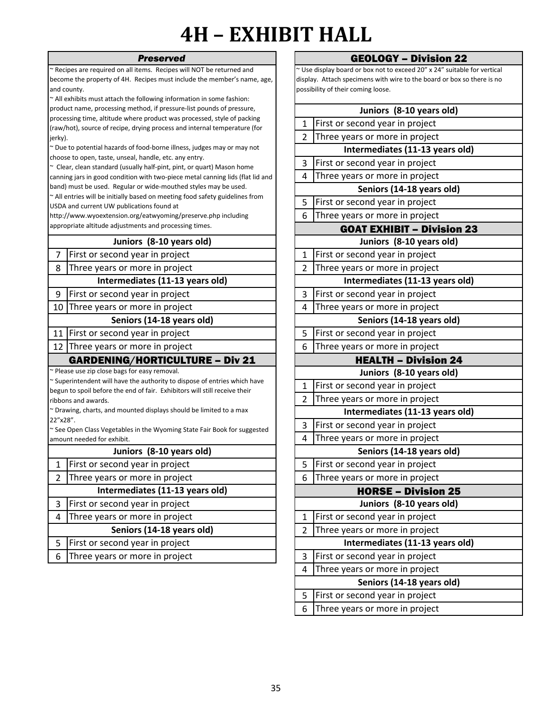#### *Preserved*

~ Recipes are required on all items. Recipes will NOT be returned and become the property of 4H. Recipes must include the member's name, age, and county.

~ All exhibits must attach the following information in some fashion: product name, processing method, if pressure-list pounds of pressure, processing time, altitude where product was processed, style of packing (raw/hot), source of recipe, drying process and internal temperature (for jerky).

~ Due to potential hazards of food-borne illness, judges may or may not choose to open, taste, unseal, handle, etc. any entry.

~ Clear, clean standard (usually half-pint, pint, or quart) Mason home canning jars in good condition with two-piece metal canning lids (flat lid and band) must be used. Regular or wide-mouthed styles may be used.

~ All entries will be initially based on meeting food safety guidelines from USDA and current UW publications found at

http://www.wyoextension.org/eatwyoming/preserve.php including appropriate altitude adjustments and processing times.

### **Juniors (8-10 years old)**

7 | First or second year in project  $\begin{array}{|c|c|c|c|c|c|c|c|c|} \hline \end{array}$  | 1

8 2 Three years or more in project **Intermediates (11-13 years old)**

9 | First or second year in project | | | | | | 3

10 4 Three years or more in project

#### **Seniors (14-18 years old)**

11 | First or second year in project | | | | | 5

12 Three years or more in project  $\begin{array}{|c|c|c|c|c|c|c|c|c|} \hline \end{array}$  6

#### GARDENING/HORTICULTURE – Div 21

~ Please use zip close bags for easy removal.

~ Superintendent will have the authority to dispose of entries which have begun to spoil before the end of fair. Exhibitors will still receive their ribbons and awards.

~ Drawing, charts, and mounted displays should be limited to a max 22"x28".

~ See Open Class Vegetables in the Wyoming State Fair Book for suggested amount needed for exhibit.

#### **Juniors (8-10 years old)**

1 | First or second year in project | | | | | 5

2 Three years or more in project  $\begin{array}{|c|c|c|c|c|c|c|c|c|} \hline \text{7} & \text{8} & \text{9} & \text{10} & \text{11} & \text{12} & \text{13} & \text{14} & \text{15} & \text{16} & \text{17} & \text{18} & \text{19} & \text{19} & \text{19} & \text{19} & \text{19} & \text{19} & \text{19} & \text{19} & \text{19} & \text{19} & \text{19} & \text$ 

**Intermediates (11-13 years old)**

3 First or second year in project

4 1 Three years or more in project

**Seniors (14-18 years old)**

5 First or second year in project

6 Three years or more in project  $\begin{array}{|c|c|c|c|c|}\n\hline\n\end{array}$  3

#### GEOLOGY – Division 22

~ Use display board or box not to exceed 20" x 24" suitable for vertical display. Attach specimens with wire to the board or box so there is no possibility of their coming loose.

| Juniors (8-10 years old)        |                                   |  |  |  |
|---------------------------------|-----------------------------------|--|--|--|
| 1                               | First or second year in project   |  |  |  |
| $\overline{2}$                  | Three years or more in project    |  |  |  |
|                                 | Intermediates (11-13 years old)   |  |  |  |
| 3                               | First or second year in project   |  |  |  |
| 4                               | Three years or more in project    |  |  |  |
|                                 | Seniors (14-18 years old)         |  |  |  |
| 5                               | First or second year in project   |  |  |  |
| 6                               | Three years or more in project    |  |  |  |
|                                 | <b>GOAT EXHIBIT - Division 23</b> |  |  |  |
|                                 | Juniors (8-10 years old)          |  |  |  |
| $\mathbf{1}$                    | First or second year in project   |  |  |  |
| $\overline{2}$                  | Three years or more in project    |  |  |  |
|                                 | Intermediates (11-13 years old)   |  |  |  |
| 3                               | First or second year in project   |  |  |  |
| 4                               | Three years or more in project    |  |  |  |
|                                 | Seniors (14-18 years old)         |  |  |  |
| 5                               | First or second year in project   |  |  |  |
| 6                               | Three years or more in project    |  |  |  |
| <b>HEALTH - Division 24</b>     |                                   |  |  |  |
|                                 | Juniors (8-10 years old)          |  |  |  |
| 1                               | First or second year in project   |  |  |  |
| $\overline{2}$                  | Three years or more in project    |  |  |  |
| Intermediates (11-13 years old) |                                   |  |  |  |
| 3                               | First or second year in project   |  |  |  |
| 4                               | Three years or more in project    |  |  |  |
|                                 | Seniors (14-18 years old)         |  |  |  |
| 5                               | First or second year in project   |  |  |  |
| 6                               | Three years or more in project    |  |  |  |
|                                 | <b>HORSE - Division 25</b>        |  |  |  |
|                                 | Juniors (8-10 years old)          |  |  |  |
| 1                               | First or second year in project   |  |  |  |
| $\overline{2}$                  | Three years or more in project    |  |  |  |
|                                 | Intermediates (11-13 years old)   |  |  |  |
| 3                               | First or second year in project   |  |  |  |
| 4                               | Three years or more in project    |  |  |  |
|                                 | Seniors (14-18 years old)         |  |  |  |
| 5                               | First or second year in project   |  |  |  |
| 6                               | Three years or more in project    |  |  |  |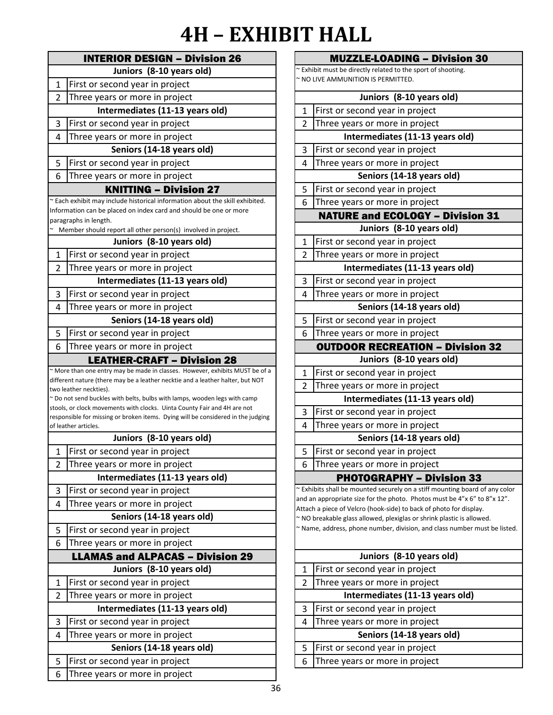|                | <b>INTERIOR DESIGN - Division 26</b>                                                                                                                         |
|----------------|--------------------------------------------------------------------------------------------------------------------------------------------------------------|
|                | Juniors (8-10 years old)                                                                                                                                     |
| $\mathbf{1}$   | First or second year in project                                                                                                                              |
| $\mathfrak{p}$ | Three years or more in project                                                                                                                               |
|                | Intermediates (11-13 years old)                                                                                                                              |
| 3              | First or second year in project                                                                                                                              |
| 4              | Three years or more in project                                                                                                                               |
|                | Seniors (14-18 years old)                                                                                                                                    |
| 5              | First or second year in project                                                                                                                              |
| 6              | Three years or more in project                                                                                                                               |
|                | <b>KNITTING - Division 27</b>                                                                                                                                |
|                | ~ Each exhibit may include historical information about the skill exhibited.                                                                                 |
|                | Information can be placed on index card and should be one or more<br>paragraphs in length.                                                                   |
|                | Member should report all other person(s) involved in project.                                                                                                |
|                | Juniors (8-10 years old)                                                                                                                                     |
| $\mathbf{1}$   | First or second year in project                                                                                                                              |
| $\overline{2}$ | Three years or more in project                                                                                                                               |
|                | Intermediates (11-13 years old)                                                                                                                              |
| 3              | First or second year in project                                                                                                                              |
| $\overline{4}$ | Three years or more in project                                                                                                                               |
|                | Seniors (14-18 years old)                                                                                                                                    |
| 5              | First or second year in project                                                                                                                              |
| 6              | Three years or more in project                                                                                                                               |
|                | <b>LEATHER-CRAFT - Division 28</b>                                                                                                                           |
|                | ~ More than one entry may be made in classes. However, exhibits MUST be of a                                                                                 |
|                | different nature (there may be a leather necktie and a leather halter, but NOT<br>two leather neckties).                                                     |
|                | ~ Do not send buckles with belts, bulbs with lamps, wooden legs with camp                                                                                    |
|                | stools, or clock movements with clocks. Uinta County Fair and 4H are not<br>responsible for missing or broken items. Dying will be considered in the judging |
|                | of leather articles.                                                                                                                                         |
|                | Juniors (8-10 years old)                                                                                                                                     |
| 1              | First or second year in project                                                                                                                              |
| $\overline{2}$ | Three years or more in project                                                                                                                               |
|                | Intermediates (11-13 years old)                                                                                                                              |
| 3              | First or second year in project                                                                                                                              |
| 4              | Three years or more in project                                                                                                                               |
|                | Seniors (14-18 years old)                                                                                                                                    |
| 5              | First or second year in project                                                                                                                              |
| 6              | Three years or more in project                                                                                                                               |
|                | <b>LLAMAS and ALPACAS - Division 29</b>                                                                                                                      |
|                | Juniors (8-10 years old)                                                                                                                                     |
| 1              | First or second year in project                                                                                                                              |
| 2              | Three years or more in project                                                                                                                               |
|                | Intermediates (11-13 years old)                                                                                                                              |
| 3              | First or second year in project                                                                                                                              |
| 4              | Three years or more in project                                                                                                                               |
|                | Seniors (14-18 years old)                                                                                                                                    |
| 5              | First or second year in project                                                                                                                              |
| 6              | Three years or more in project                                                                                                                               |

| <b>MUZZLE-LOADING - Division 30</b>                          |                                                                                                                                             |  |  |  |
|--------------------------------------------------------------|---------------------------------------------------------------------------------------------------------------------------------------------|--|--|--|
| ~ Exhibit must be directly related to the sport of shooting. |                                                                                                                                             |  |  |  |
| ~ NO LIVE AMMUNITION IS PERMITTED.                           |                                                                                                                                             |  |  |  |
|                                                              | Juniors (8-10 years old)                                                                                                                    |  |  |  |
| 1                                                            | First or second year in project                                                                                                             |  |  |  |
| $\overline{2}$                                               | Three years or more in project                                                                                                              |  |  |  |
|                                                              | Intermediates (11-13 years old)                                                                                                             |  |  |  |
| 3                                                            | First or second year in project                                                                                                             |  |  |  |
| 4                                                            | Three years or more in project                                                                                                              |  |  |  |
|                                                              | Seniors (14-18 years old)                                                                                                                   |  |  |  |
| 5                                                            | First or second year in project                                                                                                             |  |  |  |
| 6                                                            | Three years or more in project                                                                                                              |  |  |  |
|                                                              | <b>NATURE and ECOLOGY - Division 31</b>                                                                                                     |  |  |  |
|                                                              | Juniors (8-10 years old)                                                                                                                    |  |  |  |
| $\mathbf 1$                                                  | First or second year in project                                                                                                             |  |  |  |
| $\overline{2}$                                               | Three years or more in project                                                                                                              |  |  |  |
|                                                              | Intermediates (11-13 years old)                                                                                                             |  |  |  |
| 3                                                            | First or second year in project                                                                                                             |  |  |  |
| 4                                                            | Three years or more in project                                                                                                              |  |  |  |
|                                                              | Seniors (14-18 years old)                                                                                                                   |  |  |  |
| 5                                                            | First or second year in project                                                                                                             |  |  |  |
| 6                                                            | Three years or more in project                                                                                                              |  |  |  |
|                                                              | <b>OUTDOOR RECREATION - Division 32</b>                                                                                                     |  |  |  |
|                                                              | Juniors (8-10 years old)                                                                                                                    |  |  |  |
| $\mathbf{1}$                                                 | First or second year in project                                                                                                             |  |  |  |
| 2                                                            | Three years or more in project                                                                                                              |  |  |  |
|                                                              | Intermediates (11-13 years old)                                                                                                             |  |  |  |
| 3                                                            | First or second year in project                                                                                                             |  |  |  |
| 4                                                            | Three years or more in project                                                                                                              |  |  |  |
|                                                              | Seniors (14-18 years old)                                                                                                                   |  |  |  |
| 5                                                            | First or second year in project                                                                                                             |  |  |  |
| 6                                                            | Three years or more in project                                                                                                              |  |  |  |
|                                                              | <b>PHOTOGRAPHY - Division 33</b>                                                                                                            |  |  |  |
|                                                              | ~ Exhibits shall be mounted securely on a stiff mounting board of any color                                                                 |  |  |  |
|                                                              | and an appropriate size for the photo. Photos must be 4"x 6" to 8"x 12".                                                                    |  |  |  |
|                                                              | Attach a piece of Velcro (hook-side) to back of photo for display.<br>~ NO breakable glass allowed, plexiglas or shrink plastic is allowed. |  |  |  |
|                                                              | ~ Name, address, phone number, division, and class number must be listed.                                                                   |  |  |  |
|                                                              |                                                                                                                                             |  |  |  |
| Juniors (8-10 years old)                                     |                                                                                                                                             |  |  |  |
| 1                                                            | First or second year in project                                                                                                             |  |  |  |
| 2                                                            | Three years or more in project                                                                                                              |  |  |  |
|                                                              | Intermediates (11-13 years old)                                                                                                             |  |  |  |
| 3                                                            | First or second year in project                                                                                                             |  |  |  |
| 4                                                            | Three years or more in project                                                                                                              |  |  |  |
|                                                              | Seniors (14-18 years old)                                                                                                                   |  |  |  |
| 5                                                            | First or second year in project                                                                                                             |  |  |  |
| 6                                                            | Three years or more in project                                                                                                              |  |  |  |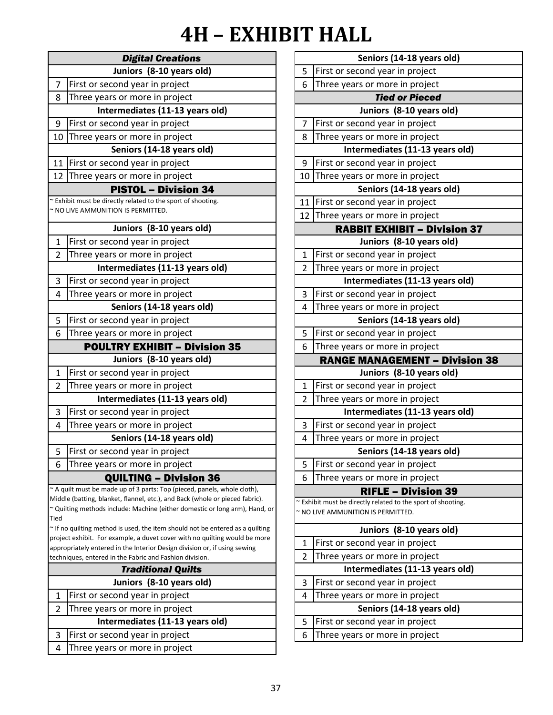|                                 | <b>Digital Creations</b>                                                                                                                                    |                |
|---------------------------------|-------------------------------------------------------------------------------------------------------------------------------------------------------------|----------------|
|                                 | Juniors (8-10 years old)                                                                                                                                    | 5              |
| $\overline{7}$                  | First or second year in project                                                                                                                             | 6              |
| 8                               | Three years or more in project                                                                                                                              |                |
|                                 | Intermediates (11-13 years old)                                                                                                                             |                |
| 9                               | First or second year in project                                                                                                                             | 7              |
| 10                              | Three years or more in project                                                                                                                              | 8              |
|                                 | Seniors (14-18 years old)                                                                                                                                   |                |
| 11                              | First or second year in project                                                                                                                             | 9              |
|                                 | 12 Three years or more in project                                                                                                                           | 10             |
|                                 | <b>PISTOL - Division 34</b>                                                                                                                                 |                |
|                                 | ~ Exhibit must be directly related to the sport of shooting.                                                                                                | 11             |
|                                 | ~ NO LIVE AMMUNITION IS PERMITTED.                                                                                                                          | 12             |
|                                 | Juniors (8-10 years old)                                                                                                                                    |                |
| $\mathbf{1}$                    | First or second year in project                                                                                                                             |                |
| 2                               | Three years or more in project                                                                                                                              | 1              |
|                                 | Intermediates (11-13 years old)                                                                                                                             | $\overline{2}$ |
| 3                               | First or second year in project                                                                                                                             |                |
| 4                               | Three years or more in project                                                                                                                              | 3              |
|                                 | Seniors (14-18 years old)                                                                                                                                   | 4              |
| 5                               | First or second year in project                                                                                                                             |                |
| 6                               | Three years or more in project                                                                                                                              | 5              |
|                                 | <b>POULTRY EXHIBIT - Division 35</b>                                                                                                                        | 6              |
|                                 | Juniors (8-10 years old)                                                                                                                                    |                |
| $\mathbf{1}$                    | First or second year in project                                                                                                                             |                |
| $\overline{2}$                  | Three years or more in project                                                                                                                              | $\mathbf{1}$   |
|                                 | Intermediates (11-13 years old)                                                                                                                             | 2              |
| 3                               | First or second year in project                                                                                                                             |                |
| 4                               | Three years or more in project                                                                                                                              | 3              |
|                                 | Seniors (14-18 years old)                                                                                                                                   | 4              |
| 5                               | First or second year in project                                                                                                                             |                |
| 6                               | Three years or more in project                                                                                                                              | 5              |
|                                 | <b>QUILTING - Division 36</b>                                                                                                                               | 6              |
|                                 | ~ A quilt must be made up of 3 parts: Top (pieced, panels, whole cloth),                                                                                    |                |
|                                 | Middle (batting, blanket, flannel, etc.), and Back (whole or pieced fabric).<br>~ Quilting methods include: Machine (either domestic or long arm), Hand, or | ~ Exl          |
| Tied                            |                                                                                                                                                             | $\sim$ NC      |
|                                 | $\sim$ If no quilting method is used, the item should not be entered as a quilting                                                                          |                |
|                                 | project exhibit. For example, a duvet cover with no quilting would be more<br>appropriately entered in the Interior Design division or, if using sewing     | 1              |
|                                 | techniques, entered in the Fabric and Fashion division.                                                                                                     | $\overline{2}$ |
|                                 | <b>Traditional Quilts</b>                                                                                                                                   |                |
|                                 | Juniors (8-10 years old)                                                                                                                                    | 3              |
| $\mathbf{1}$                    | First or second year in project                                                                                                                             | 4              |
| 2                               | Three years or more in project                                                                                                                              |                |
| Intermediates (11-13 years old) |                                                                                                                                                             |                |
| 3                               | First or second year in project                                                                                                                             | 6              |
| 4                               | Three years or more in project                                                                                                                              |                |

|                | Seniors (14-18 years old)                                                                          |  |  |
|----------------|----------------------------------------------------------------------------------------------------|--|--|
| 5              | First or second year in project                                                                    |  |  |
| 6              | Three years or more in project                                                                     |  |  |
|                | <b>Tied or Pieced</b>                                                                              |  |  |
|                | Juniors (8-10 years old)                                                                           |  |  |
| 7              | First or second year in project                                                                    |  |  |
| 8              | Three years or more in project                                                                     |  |  |
|                | Intermediates (11-13 years old)                                                                    |  |  |
| 9              | First or second year in project                                                                    |  |  |
| 10             | Three years or more in project                                                                     |  |  |
|                | Seniors (14-18 years old)                                                                          |  |  |
| 11             | First or second year in project                                                                    |  |  |
| 12             | Three years or more in project                                                                     |  |  |
|                | <b>RABBIT EXHIBIT - Division 37</b>                                                                |  |  |
|                | Juniors (8-10 years old)                                                                           |  |  |
| 1              | First or second year in project                                                                    |  |  |
| $\overline{2}$ | Three years or more in project                                                                     |  |  |
|                | Intermediates (11-13 years old)                                                                    |  |  |
| 3              | First or second year in project                                                                    |  |  |
| 4              | Three years or more in project                                                                     |  |  |
|                | Seniors (14-18 years old)                                                                          |  |  |
| 5              | First or second year in project                                                                    |  |  |
| 6              | Three years or more in project                                                                     |  |  |
|                | <b>RANGE MANAGEMENT - Division 38</b>                                                              |  |  |
|                | Juniors (8-10 years old)                                                                           |  |  |
| $\mathbf{1}$   | First or second year in project                                                                    |  |  |
| 2              | Three years or more in project                                                                     |  |  |
|                | Intermediates (11-13 years old)                                                                    |  |  |
| 3              | First or second year in project                                                                    |  |  |
| 4              | Three years or more in project                                                                     |  |  |
|                | Seniors (14-18 years old)                                                                          |  |  |
| 5              | First or second year in project                                                                    |  |  |
| 6              | Three years or more in project                                                                     |  |  |
|                | <b>RIFLE - Division 39</b>                                                                         |  |  |
|                |                                                                                                    |  |  |
|                | ~ Exhibit must be directly related to the sport of shooting.<br>~ NO LIVE AMMUNITION IS PERMITTED. |  |  |
|                | Juniors (8-10 years old)                                                                           |  |  |
| 1              | First or second year in project                                                                    |  |  |
| $\overline{2}$ | Three years or more in project                                                                     |  |  |
|                | Intermediates (11-13 years old)                                                                    |  |  |
| 3              | First or second year in project                                                                    |  |  |
| 4              | Three years or more in project                                                                     |  |  |
|                | Seniors (14-18 years old)                                                                          |  |  |
| 5              | First or second year in project                                                                    |  |  |
| 6              | Three years or more in project                                                                     |  |  |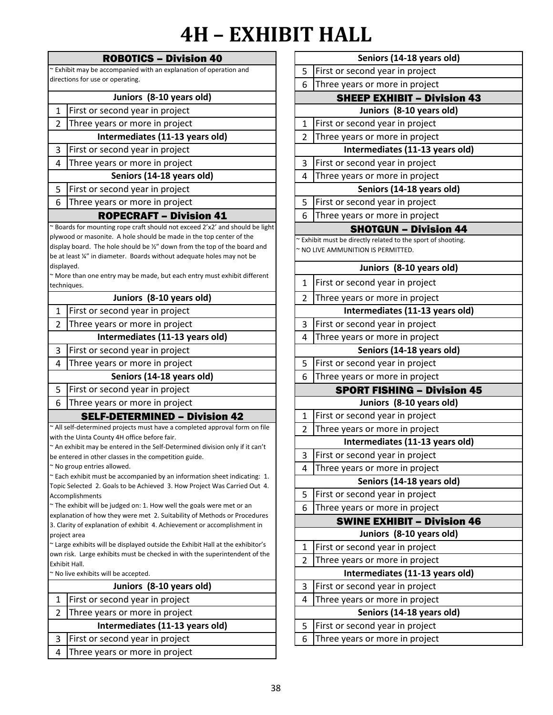|                                                                   | <b>ROBOTICS - Division 40</b>                                                                                                                                |                     | Seniors (14-18 years old)                                  |
|-------------------------------------------------------------------|--------------------------------------------------------------------------------------------------------------------------------------------------------------|---------------------|------------------------------------------------------------|
| ~ Exhibit may be accompanied with an explanation of operation and |                                                                                                                                                              |                     | First or second year in project                            |
| directions for use or operating.                                  |                                                                                                                                                              | 6                   | Three years or more in project                             |
|                                                                   | Juniors (8-10 years old)                                                                                                                                     |                     | <b>SHEEP EXHIBIT - Divisio</b>                             |
| $\mathbf{1}$                                                      | First or second year in project                                                                                                                              |                     | Juniors (8-10 years old)                                   |
| $\overline{2}$                                                    | Three years or more in project                                                                                                                               | 1                   | First or second year in project                            |
|                                                                   | Intermediates (11-13 years old)                                                                                                                              | $\overline{2}$      | Three years or more in project                             |
| 3                                                                 | First or second year in project                                                                                                                              |                     | Intermediates (11-13 years o                               |
| 4                                                                 | Three years or more in project                                                                                                                               | 3                   | First or second year in project                            |
|                                                                   | Seniors (14-18 years old)                                                                                                                                    | 4                   | Three years or more in project                             |
| 5                                                                 | First or second year in project                                                                                                                              |                     | Seniors (14-18 years old)                                  |
| 6                                                                 | Three years or more in project                                                                                                                               | 5                   | First or second year in project                            |
|                                                                   | <b>ROPECRAFT - Division 41</b>                                                                                                                               | 6                   | Three years or more in project                             |
|                                                                   | ~ Boards for mounting rope craft should not exceed 2'x2' and should be light                                                                                 |                     | <b>SHOTGUN - Division 4</b>                                |
|                                                                   | plywood or masonite. A hole should be made in the top center of the                                                                                          |                     | " Exhibit must be directly related to the sport of shootin |
|                                                                   | display board. The hole should be 1/2" down from the top of the board and<br>be at least ¼" in diameter. Boards without adequate holes may not be            |                     | NO LIVE AMMUNITION IS PERMITTED.                           |
| displayed.                                                        |                                                                                                                                                              |                     | Juniors (8-10 years old)                                   |
|                                                                   | ~ More than one entry may be made, but each entry must exhibit different<br>techniques.                                                                      | $\mathbf{1}$        | First or second year in project                            |
|                                                                   | Juniors (8-10 years old)                                                                                                                                     | $\overline{2}$      | Three years or more in project                             |
| $\mathbf{1}$                                                      | First or second year in project                                                                                                                              |                     | Intermediates (11-13 years o                               |
| $\overline{2}$                                                    | Three years or more in project                                                                                                                               | 3                   | First or second year in project                            |
|                                                                   | Intermediates (11-13 years old)                                                                                                                              | 4                   | Three years or more in project                             |
| 3                                                                 | First or second year in project                                                                                                                              |                     | Seniors (14-18 years old)                                  |
| 4                                                                 | Three years or more in project                                                                                                                               | 5                   | First or second year in project                            |
|                                                                   | Seniors (14-18 years old)                                                                                                                                    | 6                   | Three years or more in project                             |
| 5                                                                 | First or second year in project                                                                                                                              |                     |                                                            |
| 6                                                                 | Three years or more in project                                                                                                                               |                     | <b>SPORT FISHING - Divisio</b><br>Juniors (8-10 years old) |
|                                                                   |                                                                                                                                                              |                     |                                                            |
|                                                                   | <b>SELF-DETERMINED - Division 42</b><br>~ All self-determined projects must have a completed approval form on file                                           | 1<br>$\overline{2}$ | First or second year in project                            |
|                                                                   | with the Uinta County 4H office before fair.                                                                                                                 |                     | Three years or more in project                             |
|                                                                   | ~ An exhibit may be entered in the Self-Determined division only if it can't                                                                                 |                     | Intermediates (11-13 years o                               |
|                                                                   | be entered in other classes in the competition guide.<br>~ No group entries allowed.                                                                         | 3                   | First or second year in project                            |
|                                                                   | ~ Each exhibit must be accompanied by an information sheet indicating: 1.                                                                                    | 4                   | Three years or more in project                             |
|                                                                   | Topic Selected 2. Goals to be Achieved 3. How Project Was Carried Out 4.                                                                                     |                     | Seniors (14-18 years old)                                  |
|                                                                   | Accomplishments                                                                                                                                              | 5                   | First or second year in project                            |
|                                                                   | ~ The exhibit will be judged on: 1. How well the goals were met or an<br>explanation of how they were met 2. Suitability of Methods or Procedures            | 6                   | Three years or more in project                             |
|                                                                   | 3. Clarity of explanation of exhibit 4. Achievement or accomplishment in                                                                                     |                     | <b>SWINE EXHIBIT - Divisio</b>                             |
|                                                                   | project area                                                                                                                                                 |                     | Juniors (8-10 years old)                                   |
|                                                                   | ~ Large exhibits will be displayed outside the Exhibit Hall at the exhibitor's<br>own risk. Large exhibits must be checked in with the superintendent of the | $\mathbf{1}$        | First or second year in project                            |
|                                                                   | Exhibit Hall.                                                                                                                                                | $\overline{2}$      | Three years or more in project                             |
|                                                                   | ~ No live exhibits will be accepted.                                                                                                                         |                     | Intermediates (11-13 years o                               |
|                                                                   | Juniors (8-10 years old)                                                                                                                                     | 3                   | First or second year in project                            |
| $\mathbf{1}$                                                      | First or second year in project                                                                                                                              | 4                   | Three years or more in project                             |
| $\overline{2}$                                                    | Three years or more in project                                                                                                                               |                     | Seniors (14-18 years old)                                  |
|                                                                   | Intermediates (11-13 years old)                                                                                                                              | 5                   | First or second year in project                            |
| 3                                                                 | First or second year in project                                                                                                                              | 6                   | Three years or more in project                             |
| 4                                                                 | Three years or more in project                                                                                                                               |                     |                                                            |

|                                                                                                    | Seniors (14-18 years old)          |  |  |  |
|----------------------------------------------------------------------------------------------------|------------------------------------|--|--|--|
| 5                                                                                                  | First or second year in project    |  |  |  |
| 6                                                                                                  | Three years or more in project     |  |  |  |
|                                                                                                    | <b>SHEEP EXHIBIT - Division 43</b> |  |  |  |
| Juniors (8-10 years old)                                                                           |                                    |  |  |  |
| 1                                                                                                  | First or second year in project    |  |  |  |
| $\overline{2}$                                                                                     | Three years or more in project     |  |  |  |
|                                                                                                    | Intermediates (11-13 years old)    |  |  |  |
| 3                                                                                                  | First or second year in project    |  |  |  |
| 4                                                                                                  | Three years or more in project     |  |  |  |
| Seniors (14-18 years old)                                                                          |                                    |  |  |  |
| 5                                                                                                  | First or second year in project    |  |  |  |
| 6                                                                                                  | Three years or more in project     |  |  |  |
|                                                                                                    | <b>SHOTGUN - Division 44</b>       |  |  |  |
| ~ Exhibit must be directly related to the sport of shooting.<br>~ NO LIVE AMMUNITION IS PERMITTED. |                                    |  |  |  |
|                                                                                                    | Juniors (8-10 years old)           |  |  |  |
| 1                                                                                                  | First or second year in project    |  |  |  |
| 2                                                                                                  | Three years or more in project     |  |  |  |
|                                                                                                    | Intermediates (11-13 years old)    |  |  |  |
| 3                                                                                                  | First or second year in project    |  |  |  |
| 4                                                                                                  | Three years or more in project     |  |  |  |
|                                                                                                    | Seniors (14-18 years old)          |  |  |  |
| 5                                                                                                  | First or second year in project    |  |  |  |
| 6                                                                                                  | Three years or more in project     |  |  |  |
|                                                                                                    | <b>SPORT FISHING - Division 45</b> |  |  |  |
|                                                                                                    | Juniors (8-10 years old)           |  |  |  |
| 1                                                                                                  | First or second year in project    |  |  |  |
| $\overline{2}$                                                                                     | Three years or more in project     |  |  |  |
|                                                                                                    | Intermediates (11-13 years old)    |  |  |  |
| 3                                                                                                  | First or second year in project    |  |  |  |
| 4                                                                                                  | Three years or more in project     |  |  |  |
|                                                                                                    | Seniors (14-18 years old)          |  |  |  |
| 5                                                                                                  | First or second year in project    |  |  |  |
| 6                                                                                                  | Three years or more in project     |  |  |  |
|                                                                                                    | <b>SWINE EXHIBIT - Division 46</b> |  |  |  |
|                                                                                                    | Juniors (8-10 years old)           |  |  |  |
| 1                                                                                                  | First or second year in project    |  |  |  |
| $\overline{2}$                                                                                     | Three years or more in project     |  |  |  |
|                                                                                                    | Intermediates (11-13 years old)    |  |  |  |
| 3                                                                                                  | First or second year in project    |  |  |  |
| 4                                                                                                  | Three years or more in project     |  |  |  |
|                                                                                                    | Seniors (14-18 years old)          |  |  |  |
| 5                                                                                                  | First or second year in project    |  |  |  |
| 6                                                                                                  | Three years or more in project     |  |  |  |